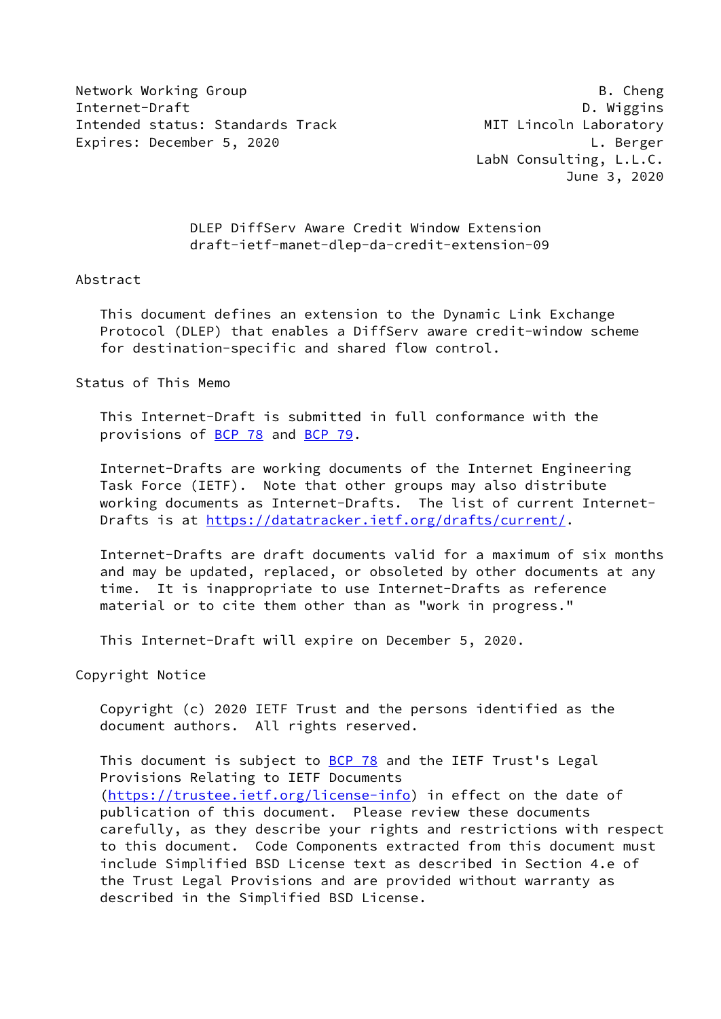Network Working Group **B. Cheng** Internet-Draft D. Wiggins Intended status: Standards Track MIT Lincoln Laboratory Expires: December 5, 2020 L. Berger

 LabN Consulting, L.L.C. June 3, 2020

 DLEP DiffServ Aware Credit Window Extension draft-ietf-manet-dlep-da-credit-extension-09

#### Abstract

 This document defines an extension to the Dynamic Link Exchange Protocol (DLEP) that enables a DiffServ aware credit-window scheme for destination-specific and shared flow control.

#### Status of This Memo

 This Internet-Draft is submitted in full conformance with the provisions of [BCP 78](https://datatracker.ietf.org/doc/pdf/bcp78) and [BCP 79](https://datatracker.ietf.org/doc/pdf/bcp79).

 Internet-Drafts are working documents of the Internet Engineering Task Force (IETF). Note that other groups may also distribute working documents as Internet-Drafts. The list of current Internet- Drafts is at<https://datatracker.ietf.org/drafts/current/>.

 Internet-Drafts are draft documents valid for a maximum of six months and may be updated, replaced, or obsoleted by other documents at any time. It is inappropriate to use Internet-Drafts as reference material or to cite them other than as "work in progress."

This Internet-Draft will expire on December 5, 2020.

Copyright Notice

 Copyright (c) 2020 IETF Trust and the persons identified as the document authors. All rights reserved.

This document is subject to **[BCP 78](https://datatracker.ietf.org/doc/pdf/bcp78)** and the IETF Trust's Legal Provisions Relating to IETF Documents [\(https://trustee.ietf.org/license-info](https://trustee.ietf.org/license-info)) in effect on the date of publication of this document. Please review these documents carefully, as they describe your rights and restrictions with respect to this document. Code Components extracted from this document must include Simplified BSD License text as described in Section 4.e of the Trust Legal Provisions and are provided without warranty as described in the Simplified BSD License.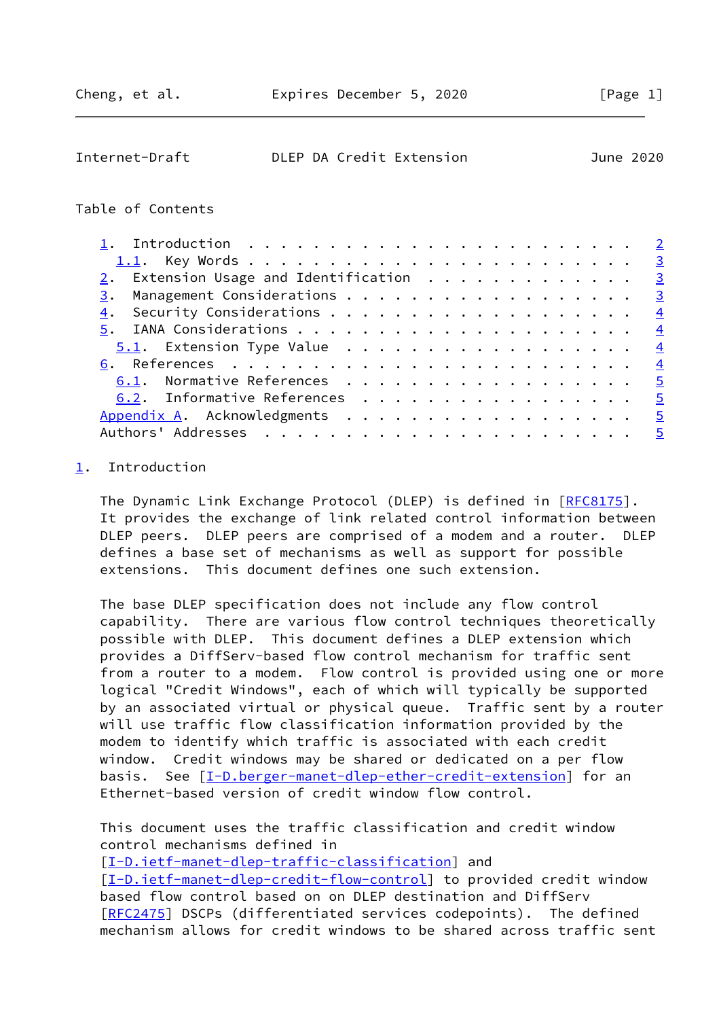<span id="page-1-1"></span>

| Internet-Draft |  | DLEP DA Credit Extension | June 2020 |
|----------------|--|--------------------------|-----------|
|                |  |                          |           |

# Table of Contents

|    | $2.$ Extension Usage and Identification $.$ |  |  |  |  |  |  |  |  |  |  |  |                |
|----|---------------------------------------------|--|--|--|--|--|--|--|--|--|--|--|----------------|
|    | 3. Management Considerations 3              |  |  |  |  |  |  |  |  |  |  |  |                |
| 4. |                                             |  |  |  |  |  |  |  |  |  |  |  |                |
|    |                                             |  |  |  |  |  |  |  |  |  |  |  |                |
|    |                                             |  |  |  |  |  |  |  |  |  |  |  |                |
|    |                                             |  |  |  |  |  |  |  |  |  |  |  |                |
|    | 6.1. Normative References 5                 |  |  |  |  |  |  |  |  |  |  |  |                |
|    | 6.2. Informative References 5               |  |  |  |  |  |  |  |  |  |  |  |                |
|    |                                             |  |  |  |  |  |  |  |  |  |  |  | $\overline{5}$ |
|    |                                             |  |  |  |  |  |  |  |  |  |  |  | $-5$           |

# <span id="page-1-0"></span>[1](#page-1-0). Introduction

The Dynamic Link Exchange Protocol (DLEP) is defined in [\[RFC8175](https://datatracker.ietf.org/doc/pdf/rfc8175)]. It provides the exchange of link related control information between DLEP peers. DLEP peers are comprised of a modem and a router. DLEP defines a base set of mechanisms as well as support for possible extensions. This document defines one such extension.

 The base DLEP specification does not include any flow control capability. There are various flow control techniques theoretically possible with DLEP. This document defines a DLEP extension which provides a DiffServ-based flow control mechanism for traffic sent from a router to a modem. Flow control is provided using one or more logical "Credit Windows", each of which will typically be supported by an associated virtual or physical queue. Traffic sent by a router will use traffic flow classification information provided by the modem to identify which traffic is associated with each credit window. Credit windows may be shared or dedicated on a per flow basis. See [\[I-D.berger-manet-dlep-ether-credit-extension](#page-5-2)] for an Ethernet-based version of credit window flow control.

 This document uses the traffic classification and credit window control mechanisms defined in

[\[I-D.ietf-manet-dlep-traffic-classification\]](#page-4-4) and [\[I-D.ietf-manet-dlep-credit-flow-control](#page-4-5)] to provided credit window based flow control based on on DLEP destination and DiffServ [\[RFC2475](https://datatracker.ietf.org/doc/pdf/rfc2475)] DSCPs (differentiated services codepoints). The defined mechanism allows for credit windows to be shared across traffic sent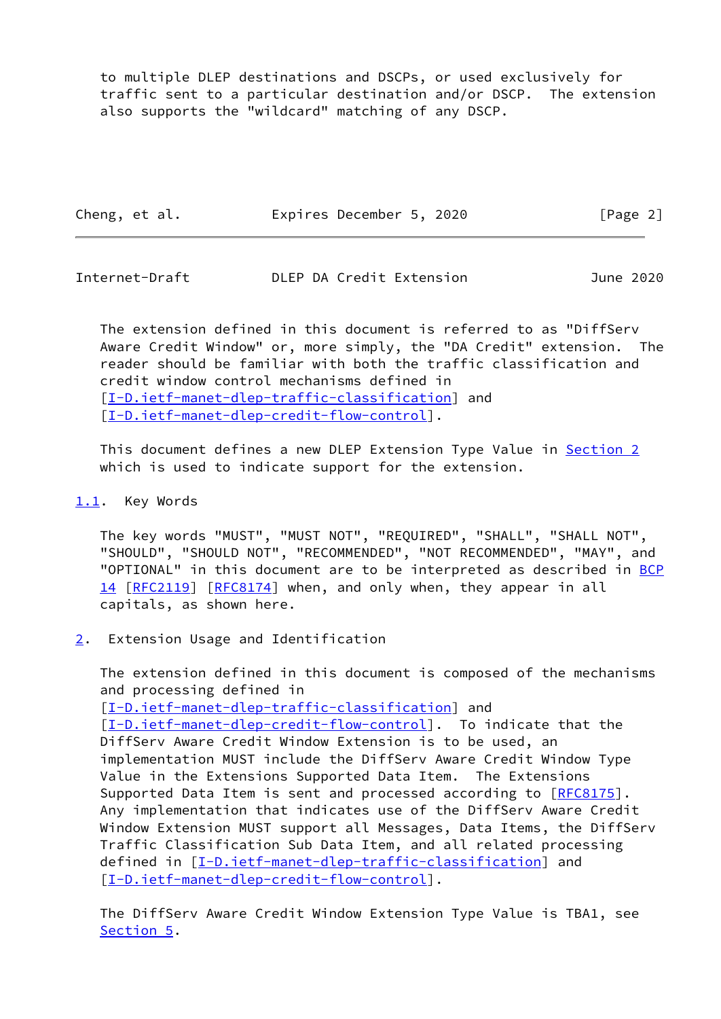to multiple DLEP destinations and DSCPs, or used exclusively for traffic sent to a particular destination and/or DSCP. The extension also supports the "wildcard" matching of any DSCP.

| Cheng, et al. | Expires December 5, 2020 | [Page 2] |
|---------------|--------------------------|----------|
|---------------|--------------------------|----------|

<span id="page-2-1"></span>Internet-Draft DLEP DA Credit Extension June 2020

 The extension defined in this document is referred to as "DiffServ Aware Credit Window" or, more simply, the "DA Credit" extension. The reader should be familiar with both the traffic classification and credit window control mechanisms defined in [\[I-D.ietf-manet-dlep-traffic-classification\]](#page-4-4) and [\[I-D.ietf-manet-dlep-credit-flow-control](#page-4-5)].

 This document defines a new DLEP Extension Type Value in [Section 2](#page-2-2) which is used to indicate support for the extension.

## <span id="page-2-0"></span>[1.1](#page-2-0). Key Words

 The key words "MUST", "MUST NOT", "REQUIRED", "SHALL", "SHALL NOT", "SHOULD", "SHOULD NOT", "RECOMMENDED", "NOT RECOMMENDED", "MAY", and "OPTIONAL" in this document are to be interpreted as described in [BCP](https://datatracker.ietf.org/doc/pdf/bcp14) [14](https://datatracker.ietf.org/doc/pdf/bcp14) [[RFC2119\]](https://datatracker.ietf.org/doc/pdf/rfc2119) [\[RFC8174](https://datatracker.ietf.org/doc/pdf/rfc8174)] when, and only when, they appear in all capitals, as shown here.

<span id="page-2-2"></span>[2](#page-2-2). Extension Usage and Identification

 The extension defined in this document is composed of the mechanisms and processing defined in [\[I-D.ietf-manet-dlep-traffic-classification\]](#page-4-4) and [\[I-D.ietf-manet-dlep-credit-flow-control](#page-4-5)]. To indicate that the DiffServ Aware Credit Window Extension is to be used, an implementation MUST include the DiffServ Aware Credit Window Type Value in the Extensions Supported Data Item. The Extensions Supported Data Item is sent and processed according to [\[RFC8175](https://datatracker.ietf.org/doc/pdf/rfc8175)]. Any implementation that indicates use of the DiffServ Aware Credit Window Extension MUST support all Messages, Data Items, the DiffServ Traffic Classification Sub Data Item, and all related processing defined in [[I-D.ietf-manet-dlep-traffic-classification\]](#page-4-4) and [\[I-D.ietf-manet-dlep-credit-flow-control](#page-4-5)].

 The DiffServ Aware Credit Window Extension Type Value is TBA1, see [Section 5](#page-3-3).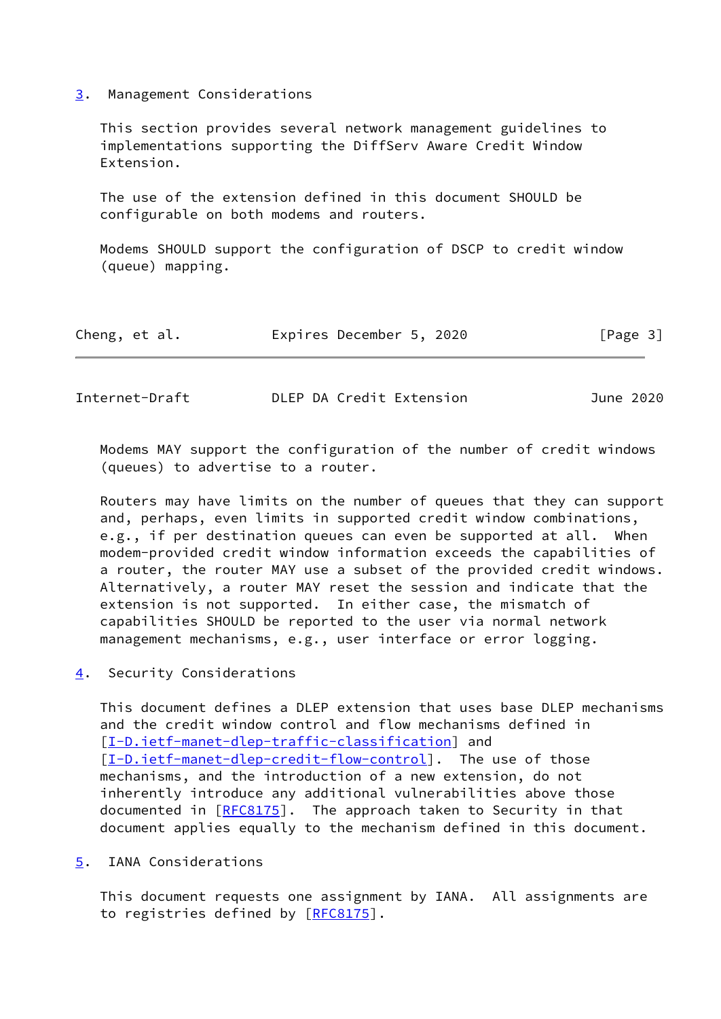<span id="page-3-0"></span>[3](#page-3-0). Management Considerations

 This section provides several network management guidelines to implementations supporting the DiffServ Aware Credit Window Extension.

 The use of the extension defined in this document SHOULD be configurable on both modems and routers.

 Modems SHOULD support the configuration of DSCP to credit window (queue) mapping.

|  | Cheng, et al. |  | Expires December 5, 2020 |  |  | [Page 3] |
|--|---------------|--|--------------------------|--|--|----------|
|--|---------------|--|--------------------------|--|--|----------|

<span id="page-3-2"></span>

| Internet-Draft | DLEP DA Credit Extension | June 2020 |
|----------------|--------------------------|-----------|
|----------------|--------------------------|-----------|

 Modems MAY support the configuration of the number of credit windows (queues) to advertise to a router.

 Routers may have limits on the number of queues that they can support and, perhaps, even limits in supported credit window combinations, e.g., if per destination queues can even be supported at all. When modem-provided credit window information exceeds the capabilities of a router, the router MAY use a subset of the provided credit windows. Alternatively, a router MAY reset the session and indicate that the extension is not supported. In either case, the mismatch of capabilities SHOULD be reported to the user via normal network management mechanisms, e.g., user interface or error logging.

<span id="page-3-1"></span>[4](#page-3-1). Security Considerations

 This document defines a DLEP extension that uses base DLEP mechanisms and the credit window control and flow mechanisms defined in [\[I-D.ietf-manet-dlep-traffic-classification\]](#page-4-4) and [\[I-D.ietf-manet-dlep-credit-flow-control](#page-4-5)]. The use of those mechanisms, and the introduction of a new extension, do not inherently introduce any additional vulnerabilities above those documented in [[RFC8175](https://datatracker.ietf.org/doc/pdf/rfc8175)]. The approach taken to Security in that document applies equally to the mechanism defined in this document.

<span id="page-3-3"></span>[5](#page-3-3). IANA Considerations

 This document requests one assignment by IANA. All assignments are to registries defined by [\[RFC8175](https://datatracker.ietf.org/doc/pdf/rfc8175)].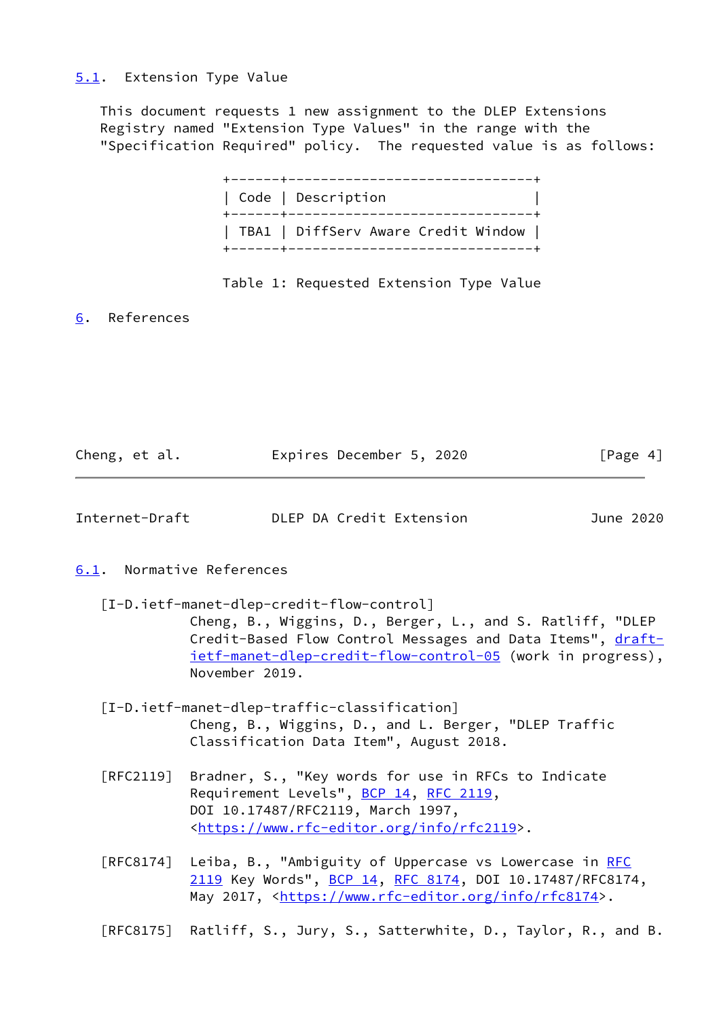### <span id="page-4-0"></span>[5.1](#page-4-0). Extension Type Value

 This document requests 1 new assignment to the DLEP Extensions Registry named "Extension Type Values" in the range with the "Specification Required" policy. The requested value is as follows:

| Code   Description                  |
|-------------------------------------|
| TBA1   DiffServ Aware Credit Window |

## Table 1: Requested Extension Type Value

<span id="page-4-1"></span>[6](#page-4-1). References

| Cheng, et al. | Expires December 5, 2020 |  | [Page 4] |
|---------------|--------------------------|--|----------|
|               |                          |  |          |

<span id="page-4-3"></span>

| DLEP DA Credit Extension<br>Internet-Draft<br>June 2020 |
|---------------------------------------------------------|
|---------------------------------------------------------|

## <span id="page-4-2"></span>[6.1](#page-4-2). Normative References

- <span id="page-4-5"></span> [I-D.ietf-manet-dlep-credit-flow-control] Cheng, B., Wiggins, D., Berger, L., and S. Ratliff, "DLEP Credit-Based Flow Control Messages and Data Items", [draft](https://datatracker.ietf.org/doc/pdf/draft-ietf-manet-dlep-credit-flow-control-05) [ietf-manet-dlep-credit-flow-control-05](https://datatracker.ietf.org/doc/pdf/draft-ietf-manet-dlep-credit-flow-control-05) (work in progress), November 2019.
- <span id="page-4-4"></span> [I-D.ietf-manet-dlep-traffic-classification] Cheng, B., Wiggins, D., and L. Berger, "DLEP Traffic Classification Data Item", August 2018.
- [RFC2119] Bradner, S., "Key words for use in RFCs to Indicate Requirement Levels", [BCP 14](https://datatracker.ietf.org/doc/pdf/bcp14), [RFC 2119](https://datatracker.ietf.org/doc/pdf/rfc2119), DOI 10.17487/RFC2119, March 1997, <[https://www.rfc-editor.org/info/rfc2119>](https://www.rfc-editor.org/info/rfc2119).
- [RFC8174] Leiba, B., "Ambiguity of Uppercase vs Lowercase in [RFC](https://datatracker.ietf.org/doc/pdf/rfc2119) [2119](https://datatracker.ietf.org/doc/pdf/rfc2119) Key Words", [BCP 14](https://datatracker.ietf.org/doc/pdf/bcp14), [RFC 8174,](https://datatracker.ietf.org/doc/pdf/rfc8174) DOI 10.17487/RFC8174, May 2017, [<https://www.rfc-editor.org/info/rfc8174](https://www.rfc-editor.org/info/rfc8174)>.

[RFC8175] Ratliff, S., Jury, S., Satterwhite, D., Taylor, R., and B.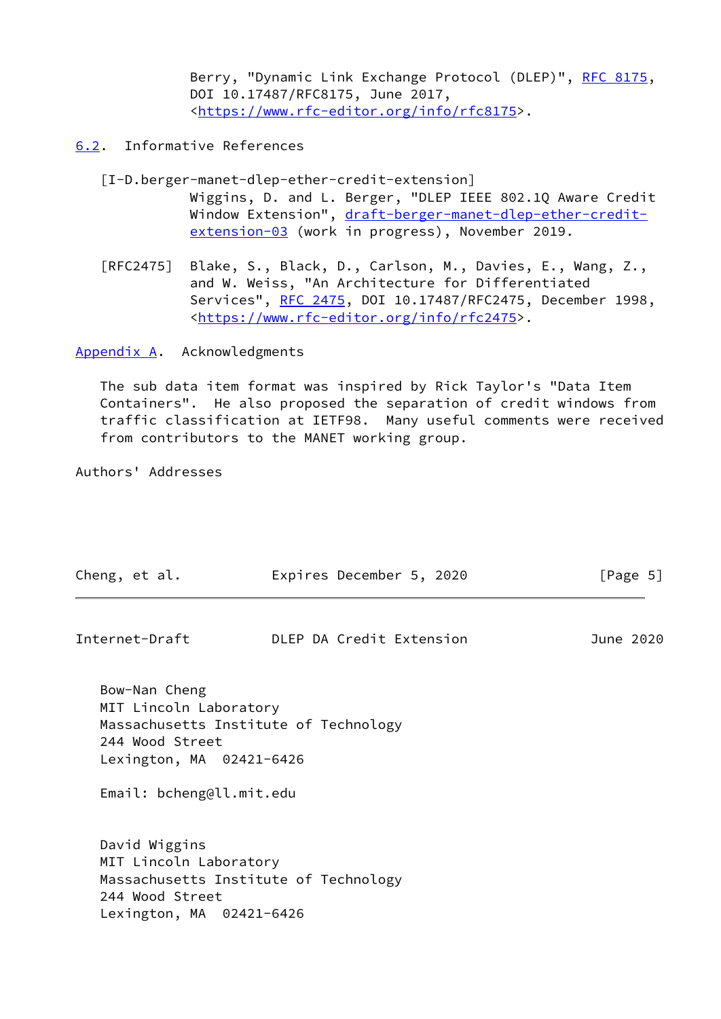Berry, "Dynamic Link Exchange Protocol (DLEP)", [RFC 8175,](https://datatracker.ietf.org/doc/pdf/rfc8175) DOI 10.17487/RFC8175, June 2017, <[https://www.rfc-editor.org/info/rfc8175>](https://www.rfc-editor.org/info/rfc8175).

# <span id="page-5-0"></span>[6.2](#page-5-0). Informative References

- <span id="page-5-2"></span> [I-D.berger-manet-dlep-ether-credit-extension] Wiggins, D. and L. Berger, "DLEP IEEE 802.1Q Aware Credit Window Extension", [draft-berger-manet-dlep-ether-credit](https://datatracker.ietf.org/doc/pdf/draft-berger-manet-dlep-ether-credit-extension-03) [extension-03](https://datatracker.ietf.org/doc/pdf/draft-berger-manet-dlep-ether-credit-extension-03) (work in progress), November 2019.
- [RFC2475] Blake, S., Black, D., Carlson, M., Davies, E., Wang, Z., and W. Weiss, "An Architecture for Differentiated Services", [RFC 2475](https://datatracker.ietf.org/doc/pdf/rfc2475), DOI 10.17487/RFC2475, December 1998, <[https://www.rfc-editor.org/info/rfc2475>](https://www.rfc-editor.org/info/rfc2475).

<span id="page-5-1"></span>[Appendix A.](#page-5-1) Acknowledgments

 The sub data item format was inspired by Rick Taylor's "Data Item Containers". He also proposed the separation of credit windows from traffic classification at IETF98. Many useful comments were received from contributors to the MANET working group.

Authors' Addresses

| Cheng, et al.                                                                                                      | Expires December 5, 2020              | [Page 5]  |
|--------------------------------------------------------------------------------------------------------------------|---------------------------------------|-----------|
| Internet-Draft                                                                                                     | DLEP DA Credit Extension              | June 2020 |
| Bow-Nan Cheng<br>MIT Lincoln Laboratory<br>244 Wood Street<br>Lexington, MA 02421-6426<br>Email: bcheng@ll.mit.edu | Massachusetts Institute of Technology |           |
| David Wiggins<br>MIT Lincoln Laboratory<br>244 Wood Street<br>Lexington, MA 02421-6426                             | Massachusetts Institute of Technology |           |